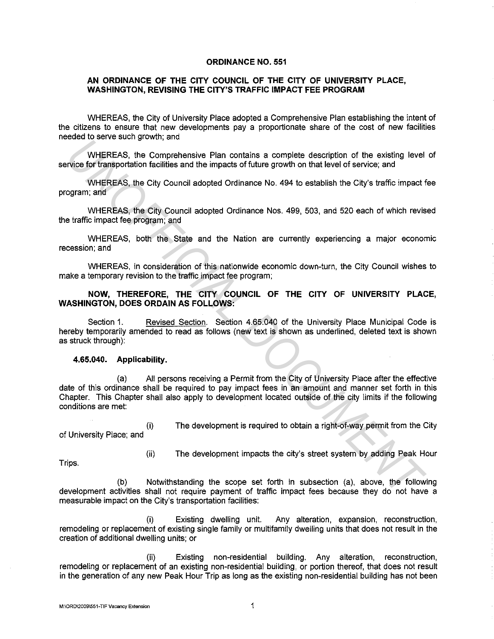## **ORDINANCE NO. 551**

## **AN ORDINANCE OF THE CITY COUNCIL OF THE CITY OF UNIVERSITY PLACE, WASHINGTON, REVISING THE CITY'S TRAFFIC IMPACT FEE PROGRAM**

WHEREAS, the City of University Place adopted a Comprehensive Plan establishing the intent of the citizens to ensure that new developments pay a proportionate share of the cost of new facilities needed to serve such growth; and

WHEREAS, the Comprehensive Plan contains a complete description of the existing level of service for transportation facilities and the impacts of future growth on that level of service; and

WHEREAS, the City Council adopted Ordinance No. 494 to establish the City's traffic impact fee program; and

WHEREAS, the City Council adopted Ordinance Nos. 499, 503, and 520 each of which revised the traffic impact fee program; and

WHEREAS, both the State and the Nation are currently experiencing a major economic recession; and

WHEREAS, in consideration of this nationwide economic down-turn, the City Council wishes to make a temporary revision to the traffic impact fee program;

## **NOW, THEREFORE, THE CITY COUNCIL OF THE CITY OF UNIVERSITY PLACE, WASHINGTON, DOES ORDAIN AS FOLLOWS:**

Section 1. Revised Section. Section 4.65.040 of the University Place Municipal Code is hereby temporarily amended to read as follows (new text is shown as underlined, deleted text is shown as struck through):

## **4.65.040. Applicability.**

(a) All persons receiving a Permit from the City of University Place after the effective date of this ordinance shall be required to pay impact fees in an amount and manner set forth in this Chapter. This Chapter shall also apply to development located outside of the city limits if the following conditions are met: **Example the matrice of the strategy of the strategy of the strategy of the strategy and where the strategy and where the strategy and the matrice of the strategy and the matrice of the strategy of the city Council adopted** 

{i) of University Place; and

{ii)

The development is required to obtain a right-of-way permit from the City

The development impacts the city's street system by adding Peak Hour

Trips.

(b) Notwithstanding the scope set forth in subsection (a), above, the following development activities shall not require payment of traffic impact fees because they do not have a measurable impact on the City's transportation facilities:

{i) Existing dwelling unit. Any alteration, expansion, reconstruction, remodeling or replacement of existing single family or multifamily dwelling units that does not result in the creation of additional dwelling units; or

{ii) Existing non-residential building. Any alteration, reconstruction, remodeling or replacement of an existing non-residential building, or portion thereof, that does not result in the generation of any new Peak Hour Trip as long as the existing non-residential building has not been